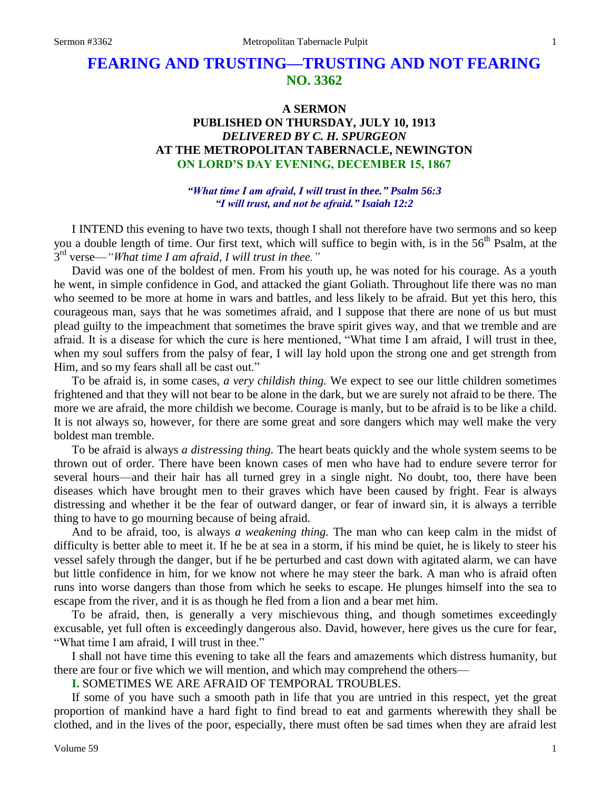# **FEARING AND TRUSTING—TRUSTING AND NOT FEARING NO. 3362**

## **A SERMON PUBLISHED ON THURSDAY, JULY 10, 1913** *DELIVERED BY C. H. SPURGEON* **AT THE METROPOLITAN TABERNACLE, NEWINGTON ON LORD'S DAY EVENING, DECEMBER 15, 1867**

## *"What time I am afraid, I will trust in thee." Psalm 56:3 "I will trust, and not be afraid." Isaiah 12:2*

I INTEND this evening to have two texts, though I shall not therefore have two sermons and so keep you a double length of time. Our first text, which will suffice to begin with, is in the 56<sup>th</sup> Psalm, at the 3 rd verse—*"What time I am afraid, I will trust in thee."*

David was one of the boldest of men. From his youth up, he was noted for his courage. As a youth he went, in simple confidence in God, and attacked the giant Goliath. Throughout life there was no man who seemed to be more at home in wars and battles, and less likely to be afraid. But yet this hero, this courageous man, says that he was sometimes afraid, and I suppose that there are none of us but must plead guilty to the impeachment that sometimes the brave spirit gives way, and that we tremble and are afraid. It is a disease for which the cure is here mentioned, "What time I am afraid, I will trust in thee, when my soul suffers from the palsy of fear, I will lay hold upon the strong one and get strength from Him, and so my fears shall all be cast out."

To be afraid is, in some cases, *a very childish thing.* We expect to see our little children sometimes frightened and that they will not bear to be alone in the dark, but we are surely not afraid to be there. The more we are afraid, the more childish we become. Courage is manly, but to be afraid is to be like a child. It is not always so, however, for there are some great and sore dangers which may well make the very boldest man tremble.

To be afraid is always *a distressing thing.* The heart beats quickly and the whole system seems to be thrown out of order. There have been known cases of men who have had to endure severe terror for several hours—and their hair has all turned grey in a single night. No doubt, too, there have been diseases which have brought men to their graves which have been caused by fright. Fear is always distressing and whether it be the fear of outward danger, or fear of inward sin, it is always a terrible thing to have to go mourning because of being afraid.

And to be afraid, too, is always *a weakening thing.* The man who can keep calm in the midst of difficulty is better able to meet it. If he be at sea in a storm, if his mind be quiet, he is likely to steer his vessel safely through the danger, but if he be perturbed and cast down with agitated alarm, we can have but little confidence in him, for we know not where he may steer the bark. A man who is afraid often runs into worse dangers than those from which he seeks to escape. He plunges himself into the sea to escape from the river, and it is as though he fled from a lion and a bear met him.

To be afraid, then, is generally a very mischievous thing, and though sometimes exceedingly excusable, yet full often is exceedingly dangerous also. David, however, here gives us the cure for fear, "What time I am afraid, I will trust in thee."

I shall not have time this evening to take all the fears and amazements which distress humanity, but there are four or five which we will mention, and which may comprehend the others—

**I.** SOMETIMES WE ARE AFRAID OF TEMPORAL TROUBLES.

If some of you have such a smooth path in life that you are untried in this respect, yet the great proportion of mankind have a hard fight to find bread to eat and garments wherewith they shall be clothed, and in the lives of the poor, especially, there must often be sad times when they are afraid lest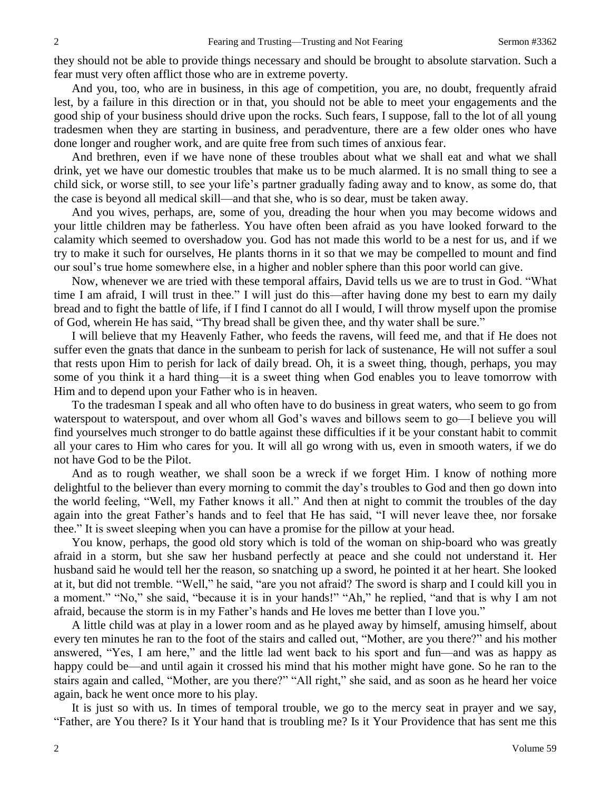they should not be able to provide things necessary and should be brought to absolute starvation. Such a fear must very often afflict those who are in extreme poverty.

And you, too, who are in business, in this age of competition, you are, no doubt, frequently afraid lest, by a failure in this direction or in that, you should not be able to meet your engagements and the good ship of your business should drive upon the rocks. Such fears, I suppose, fall to the lot of all young tradesmen when they are starting in business, and peradventure, there are a few older ones who have done longer and rougher work, and are quite free from such times of anxious fear.

And brethren, even if we have none of these troubles about what we shall eat and what we shall drink, yet we have our domestic troubles that make us to be much alarmed. It is no small thing to see a child sick, or worse still, to see your life's partner gradually fading away and to know, as some do, that the case is beyond all medical skill—and that she, who is so dear, must be taken away.

And you wives, perhaps, are, some of you, dreading the hour when you may become widows and your little children may be fatherless. You have often been afraid as you have looked forward to the calamity which seemed to overshadow you. God has not made this world to be a nest for us, and if we try to make it such for ourselves, He plants thorns in it so that we may be compelled to mount and find our soul's true home somewhere else, in a higher and nobler sphere than this poor world can give.

Now, whenever we are tried with these temporal affairs, David tells us we are to trust in God. "What time I am afraid, I will trust in thee." I will just do this—after having done my best to earn my daily bread and to fight the battle of life, if I find I cannot do all I would, I will throw myself upon the promise of God, wherein He has said, "Thy bread shall be given thee, and thy water shall be sure."

I will believe that my Heavenly Father, who feeds the ravens, will feed me, and that if He does not suffer even the gnats that dance in the sunbeam to perish for lack of sustenance, He will not suffer a soul that rests upon Him to perish for lack of daily bread. Oh, it is a sweet thing, though, perhaps, you may some of you think it a hard thing—it is a sweet thing when God enables you to leave tomorrow with Him and to depend upon your Father who is in heaven.

To the tradesman I speak and all who often have to do business in great waters, who seem to go from waterspout to waterspout, and over whom all God's waves and billows seem to go—I believe you will find yourselves much stronger to do battle against these difficulties if it be your constant habit to commit all your cares to Him who cares for you. It will all go wrong with us, even in smooth waters, if we do not have God to be the Pilot.

And as to rough weather, we shall soon be a wreck if we forget Him. I know of nothing more delightful to the believer than every morning to commit the day's troubles to God and then go down into the world feeling, "Well, my Father knows it all." And then at night to commit the troubles of the day again into the great Father's hands and to feel that He has said, "I will never leave thee, nor forsake thee." It is sweet sleeping when you can have a promise for the pillow at your head.

You know, perhaps, the good old story which is told of the woman on ship-board who was greatly afraid in a storm, but she saw her husband perfectly at peace and she could not understand it. Her husband said he would tell her the reason, so snatching up a sword, he pointed it at her heart. She looked at it, but did not tremble. "Well," he said, "are you not afraid? The sword is sharp and I could kill you in a moment." "No," she said, "because it is in your hands!" "Ah," he replied, "and that is why I am not afraid, because the storm is in my Father's hands and He loves me better than I love you."

A little child was at play in a lower room and as he played away by himself, amusing himself, about every ten minutes he ran to the foot of the stairs and called out, "Mother, are you there?" and his mother answered, "Yes, I am here," and the little lad went back to his sport and fun—and was as happy as happy could be—and until again it crossed his mind that his mother might have gone. So he ran to the stairs again and called, "Mother, are you there?" "All right," she said, and as soon as he heard her voice again, back he went once more to his play.

It is just so with us. In times of temporal trouble, we go to the mercy seat in prayer and we say, "Father, are You there? Is it Your hand that is troubling me? Is it Your Providence that has sent me this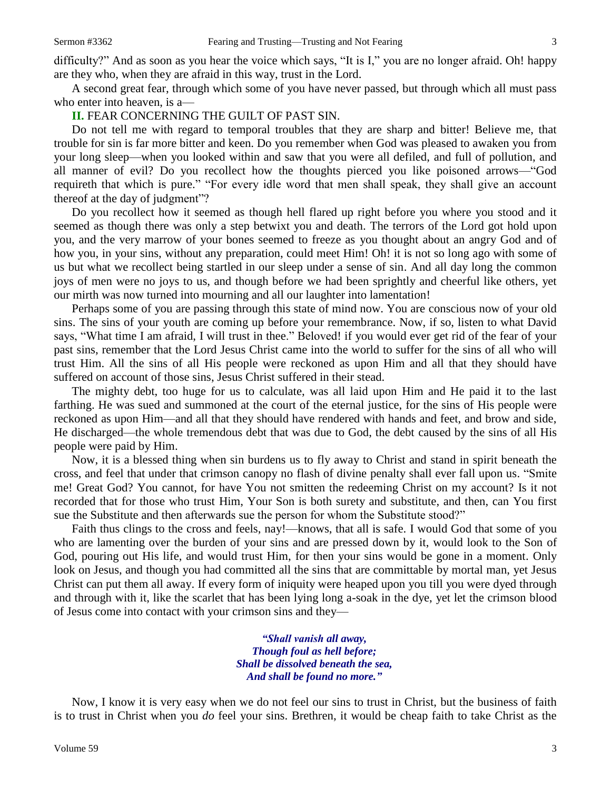difficulty?" And as soon as you hear the voice which says, "It is I," you are no longer afraid. Oh! happy are they who, when they are afraid in this way, trust in the Lord.

A second great fear, through which some of you have never passed, but through which all must pass who enter into heaven, is a—

**II.** FEAR CONCERNING THE GUILT OF PAST SIN.

Do not tell me with regard to temporal troubles that they are sharp and bitter! Believe me, that trouble for sin is far more bitter and keen. Do you remember when God was pleased to awaken you from your long sleep—when you looked within and saw that you were all defiled, and full of pollution, and all manner of evil? Do you recollect how the thoughts pierced you like poisoned arrows—"God requireth that which is pure." "For every idle word that men shall speak, they shall give an account thereof at the day of judgment"?

Do you recollect how it seemed as though hell flared up right before you where you stood and it seemed as though there was only a step betwixt you and death. The terrors of the Lord got hold upon you, and the very marrow of your bones seemed to freeze as you thought about an angry God and of how you, in your sins, without any preparation, could meet Him! Oh! it is not so long ago with some of us but what we recollect being startled in our sleep under a sense of sin. And all day long the common joys of men were no joys to us, and though before we had been sprightly and cheerful like others, yet our mirth was now turned into mourning and all our laughter into lamentation!

Perhaps some of you are passing through this state of mind now. You are conscious now of your old sins. The sins of your youth are coming up before your remembrance. Now, if so, listen to what David says, "What time I am afraid, I will trust in thee." Beloved! if you would ever get rid of the fear of your past sins, remember that the Lord Jesus Christ came into the world to suffer for the sins of all who will trust Him. All the sins of all His people were reckoned as upon Him and all that they should have suffered on account of those sins, Jesus Christ suffered in their stead.

The mighty debt, too huge for us to calculate, was all laid upon Him and He paid it to the last farthing. He was sued and summoned at the court of the eternal justice, for the sins of His people were reckoned as upon Him—and all that they should have rendered with hands and feet, and brow and side, He discharged—the whole tremendous debt that was due to God, the debt caused by the sins of all His people were paid by Him.

Now, it is a blessed thing when sin burdens us to fly away to Christ and stand in spirit beneath the cross, and feel that under that crimson canopy no flash of divine penalty shall ever fall upon us. "Smite me! Great God? You cannot, for have You not smitten the redeeming Christ on my account? Is it not recorded that for those who trust Him, Your Son is both surety and substitute, and then, can You first sue the Substitute and then afterwards sue the person for whom the Substitute stood?"

Faith thus clings to the cross and feels, nay!—knows, that all is safe. I would God that some of you who are lamenting over the burden of your sins and are pressed down by it, would look to the Son of God, pouring out His life, and would trust Him, for then your sins would be gone in a moment. Only look on Jesus, and though you had committed all the sins that are committable by mortal man, yet Jesus Christ can put them all away. If every form of iniquity were heaped upon you till you were dyed through and through with it, like the scarlet that has been lying long a-soak in the dye, yet let the crimson blood of Jesus come into contact with your crimson sins and they—

> *"Shall vanish all away, Though foul as hell before; Shall be dissolved beneath the sea, And shall be found no more."*

Now, I know it is very easy when we do not feel our sins to trust in Christ, but the business of faith is to trust in Christ when you *do* feel your sins. Brethren, it would be cheap faith to take Christ as the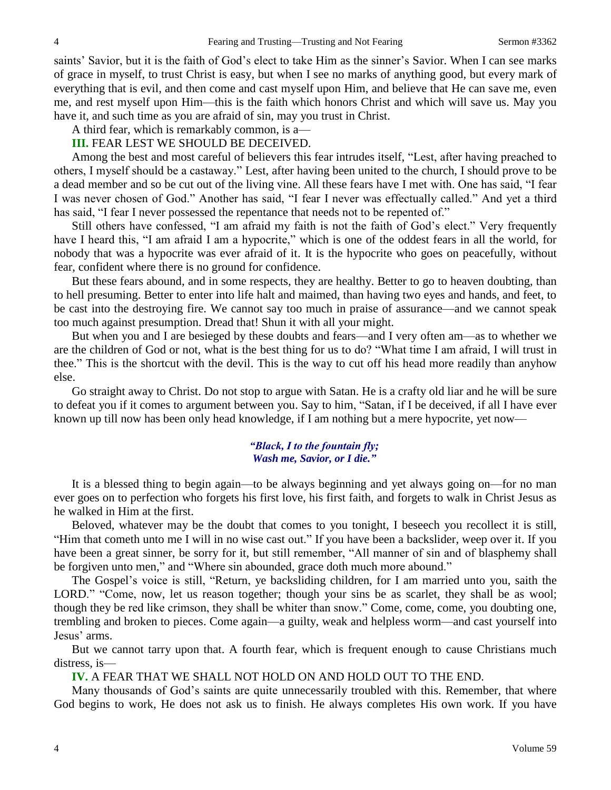saints' Savior, but it is the faith of God's elect to take Him as the sinner's Savior. When I can see marks of grace in myself, to trust Christ is easy, but when I see no marks of anything good, but every mark of everything that is evil, and then come and cast myself upon Him, and believe that He can save me, even me, and rest myself upon Him—this is the faith which honors Christ and which will save us. May you have it, and such time as you are afraid of sin, may you trust in Christ.

A third fear, which is remarkably common, is a—

#### **III.** FEAR LEST WE SHOULD BE DECEIVED.

Among the best and most careful of believers this fear intrudes itself, "Lest, after having preached to others, I myself should be a castaway." Lest, after having been united to the church, I should prove to be a dead member and so be cut out of the living vine. All these fears have I met with. One has said, "I fear I was never chosen of God." Another has said, "I fear I never was effectually called." And yet a third has said, "I fear I never possessed the repentance that needs not to be repented of."

Still others have confessed, "I am afraid my faith is not the faith of God's elect." Very frequently have I heard this, "I am afraid I am a hypocrite," which is one of the oddest fears in all the world, for nobody that was a hypocrite was ever afraid of it. It is the hypocrite who goes on peacefully, without fear, confident where there is no ground for confidence.

But these fears abound, and in some respects, they are healthy. Better to go to heaven doubting, than to hell presuming. Better to enter into life halt and maimed, than having two eyes and hands, and feet, to be cast into the destroying fire. We cannot say too much in praise of assurance—and we cannot speak too much against presumption. Dread that! Shun it with all your might.

But when you and I are besieged by these doubts and fears—and I very often am—as to whether we are the children of God or not, what is the best thing for us to do? "What time I am afraid, I will trust in thee." This is the shortcut with the devil. This is the way to cut off his head more readily than anyhow else.

Go straight away to Christ. Do not stop to argue with Satan. He is a crafty old liar and he will be sure to defeat you if it comes to argument between you. Say to him, "Satan, if I be deceived, if all I have ever known up till now has been only head knowledge, if I am nothing but a mere hypocrite, yet now—

## *"Black, I to the fountain fly; Wash me, Savior, or I die."*

It is a blessed thing to begin again—to be always beginning and yet always going on—for no man ever goes on to perfection who forgets his first love, his first faith, and forgets to walk in Christ Jesus as he walked in Him at the first.

Beloved, whatever may be the doubt that comes to you tonight, I beseech you recollect it is still, "Him that cometh unto me I will in no wise cast out." If you have been a backslider, weep over it. If you have been a great sinner, be sorry for it, but still remember, "All manner of sin and of blasphemy shall be forgiven unto men," and "Where sin abounded, grace doth much more abound."

The Gospel's voice is still, "Return, ye backsliding children, for I am married unto you, saith the LORD." "Come, now, let us reason together; though your sins be as scarlet, they shall be as wool; though they be red like crimson, they shall be whiter than snow." Come, come, come, you doubting one, trembling and broken to pieces. Come again—a guilty, weak and helpless worm—and cast yourself into Jesus' arms.

But we cannot tarry upon that. A fourth fear, which is frequent enough to cause Christians much distress, is—

**IV.** A FEAR THAT WE SHALL NOT HOLD ON AND HOLD OUT TO THE END.

Many thousands of God's saints are quite unnecessarily troubled with this. Remember, that where God begins to work, He does not ask us to finish. He always completes His own work. If you have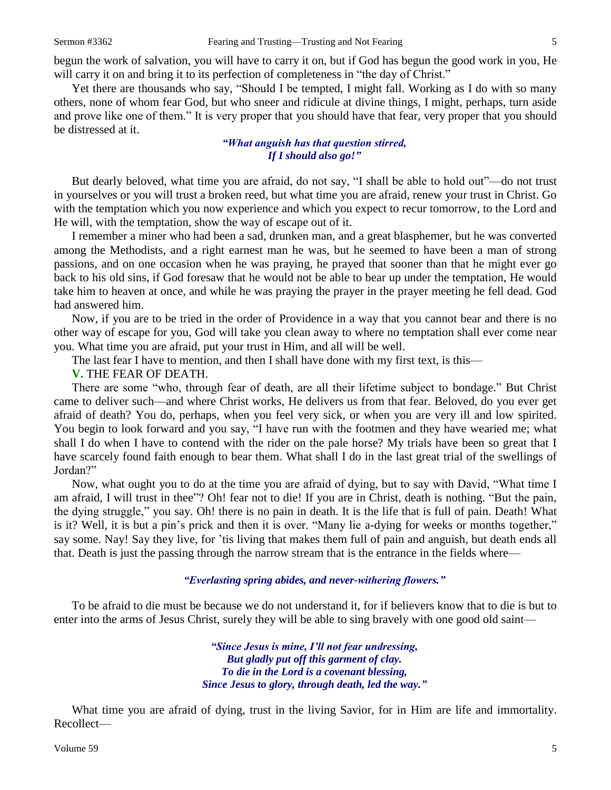begun the work of salvation, you will have to carry it on, but if God has begun the good work in you, He will carry it on and bring it to its perfection of completeness in "the day of Christ."

Yet there are thousands who say, "Should I be tempted, I might fall. Working as I do with so many others, none of whom fear God, but who sneer and ridicule at divine things, I might, perhaps, turn aside and prove like one of them." It is very proper that you should have that fear, very proper that you should be distressed at it.

## *"What anguish has that question stirred, If I should also go!"*

But dearly beloved, what time you are afraid, do not say, "I shall be able to hold out"—do not trust in yourselves or you will trust a broken reed, but what time you are afraid, renew your trust in Christ. Go with the temptation which you now experience and which you expect to recur tomorrow, to the Lord and He will, with the temptation, show the way of escape out of it.

I remember a miner who had been a sad, drunken man, and a great blasphemer, but he was converted among the Methodists, and a right earnest man he was, but he seemed to have been a man of strong passions, and on one occasion when he was praying, he prayed that sooner than that he might ever go back to his old sins, if God foresaw that he would not be able to bear up under the temptation, He would take him to heaven at once, and while he was praying the prayer in the prayer meeting he fell dead. God had answered him.

Now, if you are to be tried in the order of Providence in a way that you cannot bear and there is no other way of escape for you, God will take you clean away to where no temptation shall ever come near you. What time you are afraid, put your trust in Him, and all will be well.

The last fear I have to mention, and then I shall have done with my first text, is this—

**V.** THE FEAR OF DEATH.

There are some "who, through fear of death, are all their lifetime subject to bondage." But Christ came to deliver such—and where Christ works, He delivers us from that fear. Beloved, do you ever get afraid of death? You do, perhaps, when you feel very sick, or when you are very ill and low spirited. You begin to look forward and you say, "I have run with the footmen and they have wearied me; what shall I do when I have to contend with the rider on the pale horse? My trials have been so great that I have scarcely found faith enough to bear them. What shall I do in the last great trial of the swellings of Jordan?"

Now, what ought you to do at the time you are afraid of dying, but to say with David, "What time I am afraid, I will trust in thee"? Oh! fear not to die! If you are in Christ, death is nothing. "But the pain, the dying struggle," you say. Oh! there is no pain in death. It is the life that is full of pain. Death! What is it? Well, it is but a pin's prick and then it is over. "Many lie a-dying for weeks or months together," say some. Nay! Say they live, for 'tis living that makes them full of pain and anguish, but death ends all that. Death is just the passing through the narrow stream that is the entrance in the fields where—

#### *"Everlasting spring abides, and never-withering flowers."*

To be afraid to die must be because we do not understand it, for if believers know that to die is but to enter into the arms of Jesus Christ, surely they will be able to sing bravely with one good old saint—

> *"Since Jesus is mine, I'll not fear undressing, But gladly put off this garment of clay. To die in the Lord is a covenant blessing, Since Jesus to glory, through death, led the way."*

What time you are afraid of dying, trust in the living Savior, for in Him are life and immortality. Recollect—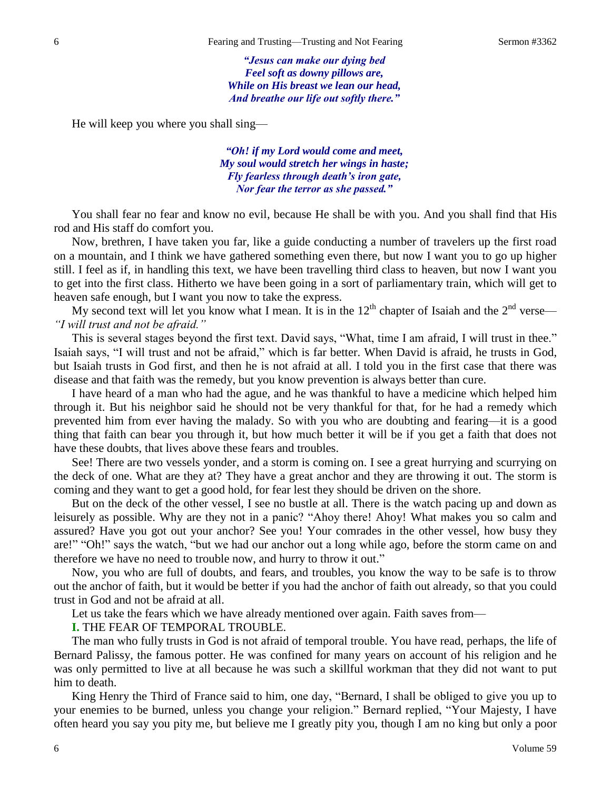*"Jesus can make our dying bed Feel soft as downy pillows are, While on His breast we lean our head, And breathe our life out softly there."*

He will keep you where you shall sing—

*"Oh! if my Lord would come and meet, My soul would stretch her wings in haste; Fly fearless through death's iron gate, Nor fear the terror as she passed."*

You shall fear no fear and know no evil, because He shall be with you. And you shall find that His rod and His staff do comfort you.

Now, brethren, I have taken you far, like a guide conducting a number of travelers up the first road on a mountain, and I think we have gathered something even there, but now I want you to go up higher still. I feel as if, in handling this text, we have been travelling third class to heaven, but now I want you to get into the first class. Hitherto we have been going in a sort of parliamentary train, which will get to heaven safe enough, but I want you now to take the express.

My second text will let you know what I mean. It is in the  $12<sup>th</sup>$  chapter of Isaiah and the  $2<sup>nd</sup>$  verse— *"I will trust and not be afraid."*

This is several stages beyond the first text. David says, "What, time I am afraid, I will trust in thee." Isaiah says, "I will trust and not be afraid," which is far better. When David is afraid, he trusts in God, but Isaiah trusts in God first, and then he is not afraid at all. I told you in the first case that there was disease and that faith was the remedy, but you know prevention is always better than cure.

I have heard of a man who had the ague, and he was thankful to have a medicine which helped him through it. But his neighbor said he should not be very thankful for that, for he had a remedy which prevented him from ever having the malady. So with you who are doubting and fearing—it is a good thing that faith can bear you through it, but how much better it will be if you get a faith that does not have these doubts, that lives above these fears and troubles.

See! There are two vessels yonder, and a storm is coming on. I see a great hurrying and scurrying on the deck of one. What are they at? They have a great anchor and they are throwing it out. The storm is coming and they want to get a good hold, for fear lest they should be driven on the shore.

But on the deck of the other vessel, I see no bustle at all. There is the watch pacing up and down as leisurely as possible. Why are they not in a panic? "Ahoy there! Ahoy! What makes you so calm and assured? Have you got out your anchor? See you! Your comrades in the other vessel, how busy they are!" "Oh!" says the watch, "but we had our anchor out a long while ago, before the storm came on and therefore we have no need to trouble now, and hurry to throw it out."

Now, you who are full of doubts, and fears, and troubles, you know the way to be safe is to throw out the anchor of faith, but it would be better if you had the anchor of faith out already, so that you could trust in God and not be afraid at all.

Let us take the fears which we have already mentioned over again. Faith saves from—

**I.** THE FEAR OF TEMPORAL TROUBLE.

The man who fully trusts in God is not afraid of temporal trouble. You have read, perhaps, the life of Bernard Palissy, the famous potter. He was confined for many years on account of his religion and he was only permitted to live at all because he was such a skillful workman that they did not want to put him to death.

King Henry the Third of France said to him, one day, "Bernard, I shall be obliged to give you up to your enemies to be burned, unless you change your religion." Bernard replied, "Your Majesty, I have often heard you say you pity me, but believe me I greatly pity you, though I am no king but only a poor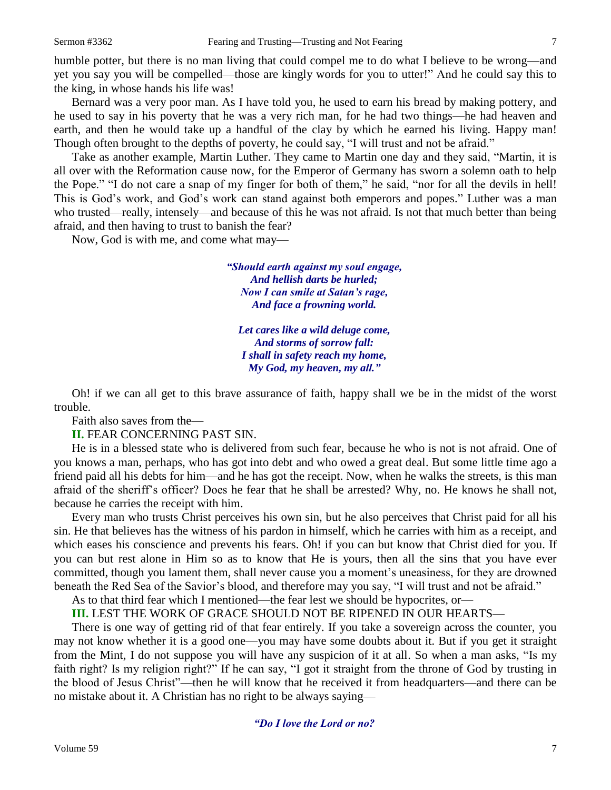humble potter, but there is no man living that could compel me to do what I believe to be wrong—and yet you say you will be compelled—those are kingly words for you to utter!" And he could say this to the king, in whose hands his life was!

Bernard was a very poor man. As I have told you, he used to earn his bread by making pottery, and he used to say in his poverty that he was a very rich man, for he had two things—he had heaven and earth, and then he would take up a handful of the clay by which he earned his living. Happy man! Though often brought to the depths of poverty, he could say, "I will trust and not be afraid."

Take as another example, Martin Luther. They came to Martin one day and they said, "Martin, it is all over with the Reformation cause now, for the Emperor of Germany has sworn a solemn oath to help the Pope." "I do not care a snap of my finger for both of them," he said, "nor for all the devils in hell! This is God's work, and God's work can stand against both emperors and popes." Luther was a man who trusted—really, intensely—and because of this he was not afraid. Is not that much better than being afraid, and then having to trust to banish the fear?

Now, God is with me, and come what may—

*"Should earth against my soul engage, And hellish darts be hurled; Now I can smile at Satan's rage, And face a frowning world.*

*Let cares like a wild deluge come, And storms of sorrow fall: I shall in safety reach my home, My God, my heaven, my all."*

Oh! if we can all get to this brave assurance of faith, happy shall we be in the midst of the worst trouble.

Faith also saves from the—

**II.** FEAR CONCERNING PAST SIN.

He is in a blessed state who is delivered from such fear, because he who is not is not afraid. One of you knows a man, perhaps, who has got into debt and who owed a great deal. But some little time ago a friend paid all his debts for him—and he has got the receipt. Now, when he walks the streets, is this man afraid of the sheriff's officer? Does he fear that he shall be arrested? Why, no. He knows he shall not, because he carries the receipt with him.

Every man who trusts Christ perceives his own sin, but he also perceives that Christ paid for all his sin. He that believes has the witness of his pardon in himself, which he carries with him as a receipt, and which eases his conscience and prevents his fears. Oh! if you can but know that Christ died for you. If you can but rest alone in Him so as to know that He is yours, then all the sins that you have ever committed, though you lament them, shall never cause you a moment's uneasiness, for they are drowned beneath the Red Sea of the Savior's blood, and therefore may you say, "I will trust and not be afraid."

As to that third fear which I mentioned—the fear lest we should be hypocrites, or—

**III.** LEST THE WORK OF GRACE SHOULD NOT BE RIPENED IN OUR HEARTS—

There is one way of getting rid of that fear entirely. If you take a sovereign across the counter, you may not know whether it is a good one—you may have some doubts about it. But if you get it straight from the Mint, I do not suppose you will have any suspicion of it at all. So when a man asks, "Is my faith right? Is my religion right?" If he can say, "I got it straight from the throne of God by trusting in the blood of Jesus Christ"—then he will know that he received it from headquarters—and there can be no mistake about it. A Christian has no right to be always saying—

*"Do I love the Lord or no?*